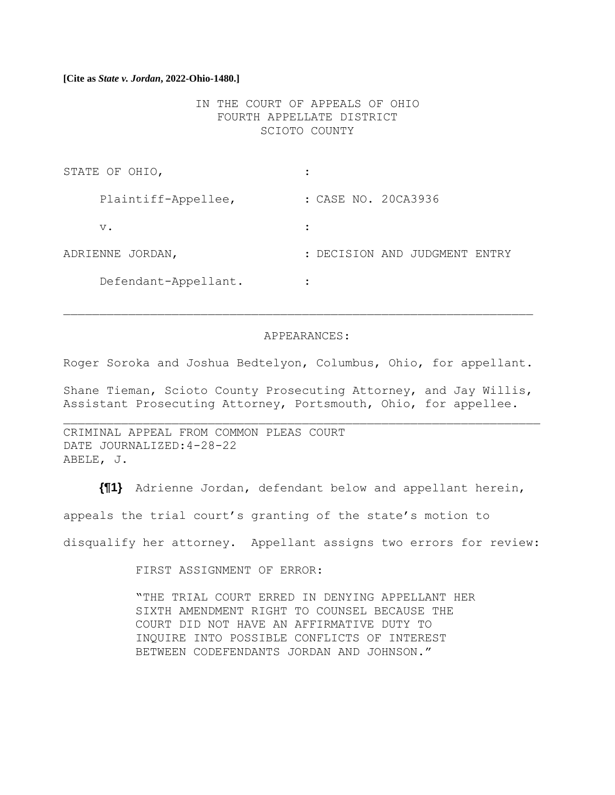#### **[Cite as** *State v. Jordan***, 2022-Ohio-1480.]**

IN THE COURT OF APPEALS OF OHIO FOURTH APPELLATE DISTRICT SCIOTO COUNTY

| STATE OF OHIO,       |                               |
|----------------------|-------------------------------|
| Plaintiff-Appellee,  | : CASE NO. 20CA3936           |
| $V$ .                |                               |
| ADRIENNE JORDAN,     | : DECISION AND JUDGMENT ENTRY |
| Defendant-Appellant. | ٠                             |

#### APPEARANCES:

Roger Soroka and Joshua Bedtelyon, Columbus, Ohio, for appellant.

Shane Tieman, Scioto County Prosecuting Attorney, and Jay Willis, Assistant Prosecuting Attorney, Portsmouth, Ohio, for appellee.

CRIMINAL APPEAL FROM COMMON PLEAS COURT DATE JOURNALIZED:4-28-22 ABELE, J.

**{¶1}** Adrienne Jordan, defendant below and appellant herein, appeals the trial court's granting of the state's motion to disqualify her attorney. Appellant assigns two errors for review:

FIRST ASSIGNMENT OF ERROR:

"THE TRIAL COURT ERRED IN DENYING APPELLANT HER SIXTH AMENDMENT RIGHT TO COUNSEL BECAUSE THE COURT DID NOT HAVE AN AFFIRMATIVE DUTY TO INQUIRE INTO POSSIBLE CONFLICTS OF INTEREST BETWEEN CODEFENDANTS JORDAN AND JOHNSON."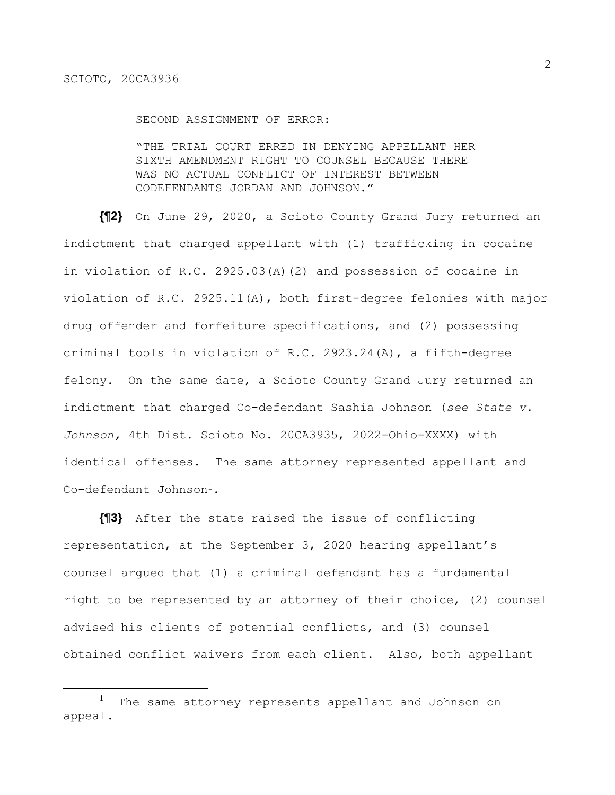#### SECOND ASSIGNMENT OF ERROR:

"THE TRIAL COURT ERRED IN DENYING APPELLANT HER SIXTH AMENDMENT RIGHT TO COUNSEL BECAUSE THERE WAS NO ACTUAL CONFLICT OF INTEREST BETWEEN CODEFENDANTS JORDAN AND JOHNSON."

**{¶2}** On June 29, 2020, a Scioto County Grand Jury returned an indictment that charged appellant with (1) trafficking in cocaine in violation of R.C. 2925.03(A)(2) and possession of cocaine in violation of R.C. 2925.11(A), both first-degree felonies with major drug offender and forfeiture specifications, and (2) possessing criminal tools in violation of R.C. 2923.24(A), a fifth-degree felony. On the same date, a Scioto County Grand Jury returned an indictment that charged Co-defendant Sashia Johnson (*see State v. Johnson,* 4th Dist. Scioto No. 20CA3935, 2022-Ohio-XXXX) with identical offenses. The same attorney represented appellant and Co-defendant Johnson<sup>1</sup>.

**{¶3}** After the state raised the issue of conflicting representation, at the September 3, 2020 hearing appellant's counsel argued that (1) a criminal defendant has a fundamental right to be represented by an attorney of their choice, (2) counsel advised his clients of potential conflicts, and (3) counsel obtained conflict waivers from each client. Also, both appellant

<sup>&</sup>lt;sup>1</sup> The same attorney represents appellant and Johnson on appeal.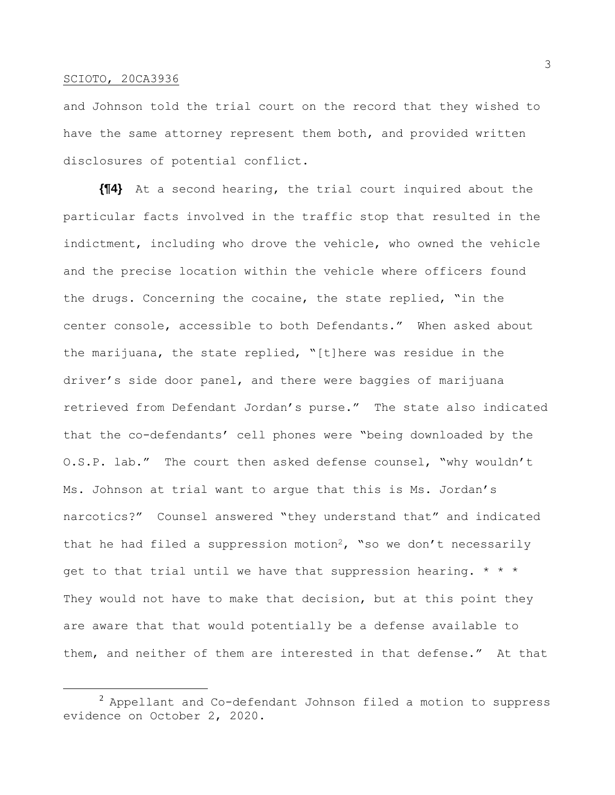and Johnson told the trial court on the record that they wished to have the same attorney represent them both, and provided written disclosures of potential conflict.

**{¶4}** At a second hearing, the trial court inquired about the particular facts involved in the traffic stop that resulted in the indictment, including who drove the vehicle, who owned the vehicle and the precise location within the vehicle where officers found the drugs. Concerning the cocaine, the state replied, "in the center console, accessible to both Defendants." When asked about the marijuana, the state replied, "[t]here was residue in the driver's side door panel, and there were baggies of marijuana retrieved from Defendant Jordan's purse." The state also indicated that the co-defendants' cell phones were "being downloaded by the O.S.P. lab." The court then asked defense counsel, "why wouldn't Ms. Johnson at trial want to argue that this is Ms. Jordan's narcotics?" Counsel answered "they understand that" and indicated that he had filed a suppression motion<sup>2</sup>, "so we don't necessarily get to that trial until we have that suppression hearing.  $* * *$ They would not have to make that decision, but at this point they are aware that that would potentially be a defense available to them, and neither of them are interested in that defense." At that

 $^2$  Appellant and Co-defendant Johnson filed a motion to suppress evidence on October 2, 2020.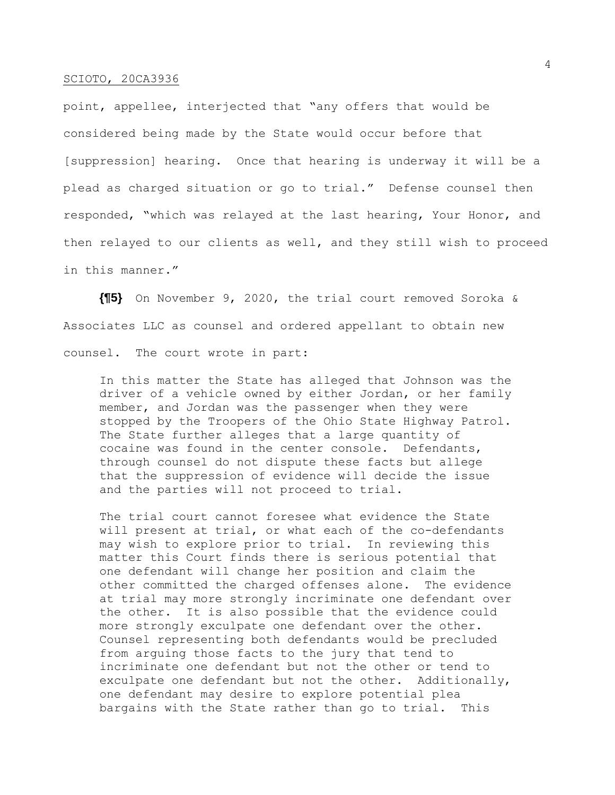point, appellee, interjected that "any offers that would be considered being made by the State would occur before that [suppression] hearing. Once that hearing is underway it will be a plead as charged situation or go to trial." Defense counsel then responded, "which was relayed at the last hearing, Your Honor, and then relayed to our clients as well, and they still wish to proceed in this manner."

**{¶5}** On November 9, 2020, the trial court removed Soroka & Associates LLC as counsel and ordered appellant to obtain new counsel. The court wrote in part:

In this matter the State has alleged that Johnson was the driver of a vehicle owned by either Jordan, or her family member, and Jordan was the passenger when they were stopped by the Troopers of the Ohio State Highway Patrol. The State further alleges that a large quantity of cocaine was found in the center console. Defendants, through counsel do not dispute these facts but allege that the suppression of evidence will decide the issue and the parties will not proceed to trial.

The trial court cannot foresee what evidence the State will present at trial, or what each of the co-defendants may wish to explore prior to trial. In reviewing this matter this Court finds there is serious potential that one defendant will change her position and claim the other committed the charged offenses alone. The evidence at trial may more strongly incriminate one defendant over the other. It is also possible that the evidence could more strongly exculpate one defendant over the other. Counsel representing both defendants would be precluded from arguing those facts to the jury that tend to incriminate one defendant but not the other or tend to exculpate one defendant but not the other. Additionally, one defendant may desire to explore potential plea bargains with the State rather than go to trial. This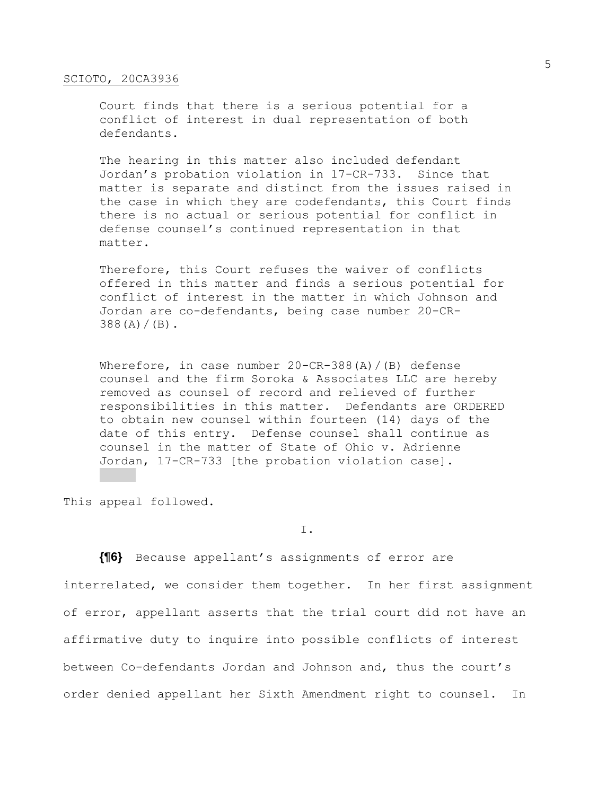Court finds that there is a serious potential for a conflict of interest in dual representation of both defendants.

The hearing in this matter also included defendant Jordan's probation violation in 17-CR-733. Since that matter is separate and distinct from the issues raised in the case in which they are codefendants, this Court finds there is no actual or serious potential for conflict in defense counsel's continued representation in that matter.

Therefore, this Court refuses the waiver of conflicts offered in this matter and finds a serious potential for conflict of interest in the matter in which Johnson and Jordan are co-defendants, being case number 20-CR- $388(A)/(B)$ .

Wherefore, in case number  $20$ -CR-388(A)/(B) defense counsel and the firm Soroka & Associates LLC are hereby removed as counsel of record and relieved of further responsibilities in this matter. Defendants are ORDERED to obtain new counsel within fourteen (14) days of the date of this entry. Defense counsel shall continue as counsel in the matter of State of Ohio v. Adrienne Jordan, 17-CR-733 [the probation violation case].

This appeal followed.

I.

**{¶6}** Because appellant's assignments of error are interrelated, we consider them together. In her first assignment of error, appellant asserts that the trial court did not have an affirmative duty to inquire into possible conflicts of interest between Co-defendants Jordan and Johnson and, thus the court's order denied appellant her Sixth Amendment right to counsel. In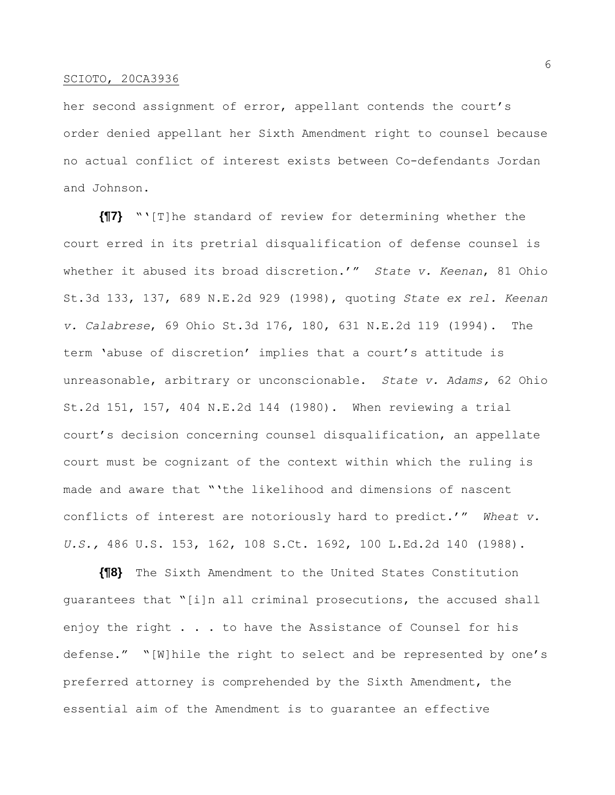her second assignment of error, appellant contends the court's order denied appellant her Sixth Amendment right to counsel because no actual conflict of interest exists between Co-defendants Jordan and Johnson.

**{¶7}** "'[T]he standard of review for determining whether the court erred in its pretrial disqualification of defense counsel is whether it abused its broad discretion.'" *State v. Keenan*, 81 Ohio St.3d 133, 137, 689 N.E.2d 929 (1998), quoting *State ex rel. Keenan v. Calabrese*, 69 Ohio St.3d 176, 180, 631 N.E.2d 119 (1994). The term 'abuse of discretion' implies that a court's attitude is unreasonable, arbitrary or unconscionable. *State v. Adams,* 62 Ohio St.2d 151, 157, 404 N.E.2d 144 (1980). When reviewing a trial court's decision concerning counsel disqualification, an appellate court must be cognizant of the context within which the ruling is made and aware that "'the likelihood and dimensions of nascent conflicts of interest are notoriously hard to predict.'" *Wheat v. U.S.,* 486 U.S. 153, 162, 108 S.Ct. 1692, 100 L.Ed.2d 140 (1988).

**{¶8}** The Sixth Amendment to the United States Constitution guarantees that "[i]n all criminal prosecutions, the accused shall enjoy the right . . . to have the Assistance of Counsel for his defense." "[W]hile the right to select and be represented by one's preferred attorney is comprehended by the Sixth Amendment, the essential aim of the Amendment is to guarantee an effective

6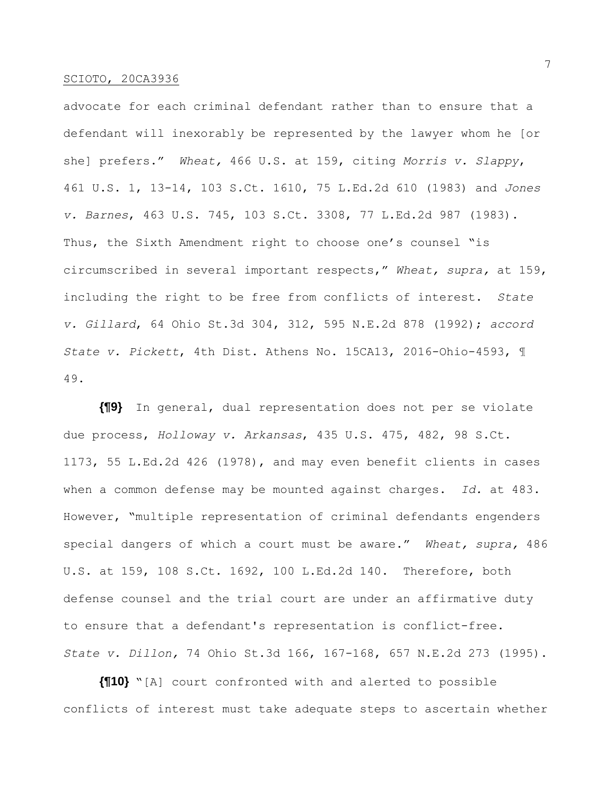advocate for each criminal defendant rather than to ensure that a defendant will inexorably be represented by the lawyer whom he [or she] prefers." *Wheat,* 466 U.S. at 159, citing *Morris v. Slappy*, 461 U.S. 1, 13-14, 103 S.Ct. 1610, 75 L.Ed.2d 610 (1983) and *Jones v. Barnes*, 463 U.S. 745, 103 S.Ct. 3308, 77 L.Ed.2d 987 (1983). Thus, the Sixth Amendment right to choose one's counsel "is circumscribed in several important respects," *Wheat, supra,* at 159, including the right to be free from conflicts of interest. *State v. Gillard*, 64 Ohio St.3d 304, 312, 595 N.E.2d 878 (1992); *accord State v. Pickett*, 4th Dist. Athens No. 15CA13, 2016-Ohio-4593, ¶ 49.

**{¶9}** In general, dual representation does not per se violate due process, *Holloway v. Arkansas*, 435 U.S. 475, 482, 98 S.Ct. 1173, 55 L.Ed.2d 426 (1978), and may even benefit clients in cases when a common defense may be mounted against charges. *Id.* at 483. However, "multiple representation of criminal defendants engenders special dangers of which a court must be aware." *Wheat, supra,* 486 U.S. at 159, 108 S.Ct. 1692, 100 L.Ed.2d 140. Therefore, both defense counsel and the trial court are under an affirmative duty to ensure that a defendant's representation is conflict-free. *State v. Dillon,* 74 Ohio St.3d 166, 167-168, 657 N.E.2d 273 (1995).

**{¶10}** "[A] court confronted with and alerted to possible conflicts of interest must take adequate steps to ascertain whether

7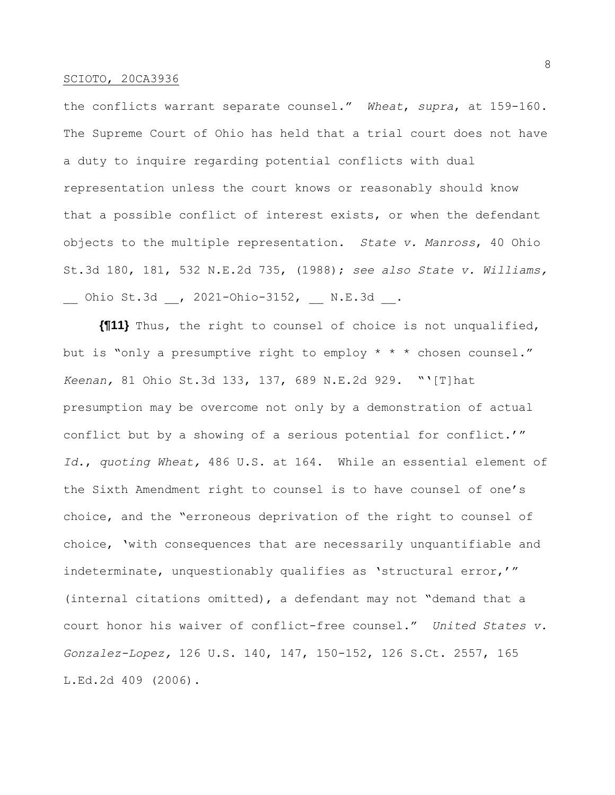the conflicts warrant separate counsel." *Wheat*, *supra*, at 159-160. The Supreme Court of Ohio has held that a trial court does not have a duty to inquire regarding potential conflicts with dual representation unless the court knows or reasonably should know that a possible conflict of interest exists, or when the defendant objects to the multiple representation. *State v. Manross*, 40 Ohio St.3d 180, 181, 532 N.E.2d 735, (1988); *see also State v. Williams,* \_\_ Ohio St.3d \_\_, 2021-Ohio-3152, \_\_ N.E.3d \_\_.

**{¶11}** Thus, the right to counsel of choice is not unqualified, but is "only a presumptive right to employ \* \* \* chosen counsel." *Keenan,* 81 Ohio St.3d 133, 137, 689 N.E.2d 929. "'[T]hat presumption may be overcome not only by a demonstration of actual conflict but by a showing of a serious potential for conflict.'" *Id.*, *quoting Wheat,* 486 U.S. at 164. While an essential element of the Sixth Amendment right to counsel is to have counsel of one's choice, and the "erroneous deprivation of the right to counsel of choice, 'with consequences that are necessarily unquantifiable and indeterminate, unquestionably qualifies as 'structural error,'" (internal citations omitted), a defendant may not "demand that a court honor his waiver of conflict-free counsel." *United States v. Gonzalez-Lopez,* 126 U.S. 140, 147, 150-152, 126 S.Ct. 2557, 165 L.Ed.2d 409 (2006).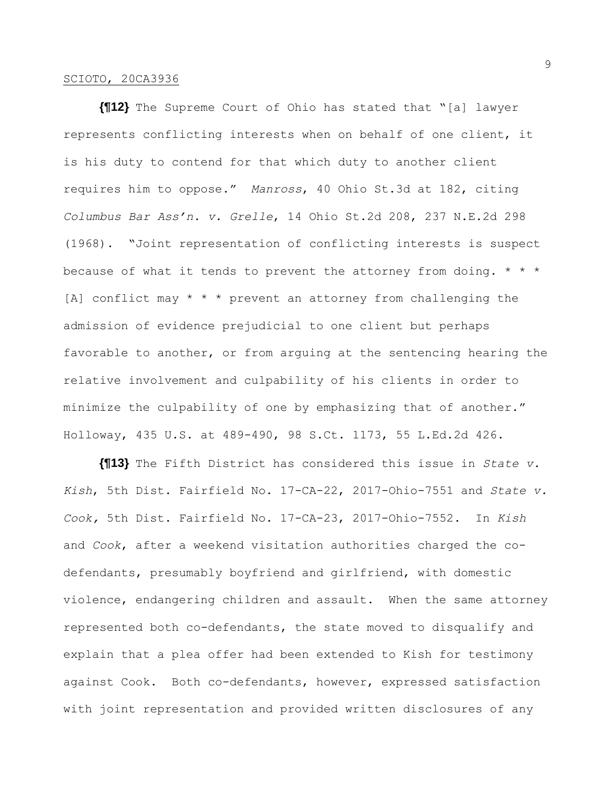**{¶12}** The Supreme Court of Ohio has stated that "[a] lawyer represents conflicting interests when on behalf of one client, it is his duty to contend for that which duty to another client requires him to oppose." *Manross*, 40 Ohio St.3d at 182, citing *Columbus Bar Ass'n. v. Grelle*, 14 Ohio St.2d 208, 237 N.E.2d 298 (1968). "Joint representation of conflicting interests is suspect because of what it tends to prevent the attorney from doing.  $* * *$ [A] conflict may  $* * *$  prevent an attorney from challenging the admission of evidence prejudicial to one client but perhaps favorable to another, or from arguing at the sentencing hearing the relative involvement and culpability of his clients in order to minimize the culpability of one by emphasizing that of another." Holloway, 435 U.S. at 489-490, 98 S.Ct. 1173, 55 L.Ed.2d 426.

**{¶13}** The Fifth District has considered this issue in *State v. Kish*, 5th Dist. Fairfield No. 17-CA-22, 2017-Ohio-7551 and *State v. Cook,* 5th Dist. Fairfield No. 17-CA-23, 2017-Ohio-7552. In *Kish*  and *Cook*, after a weekend visitation authorities charged the codefendants, presumably boyfriend and girlfriend, with domestic violence, endangering children and assault. When the same attorney represented both co-defendants, the state moved to disqualify and explain that a plea offer had been extended to Kish for testimony against Cook. Both co-defendants, however, expressed satisfaction with joint representation and provided written disclosures of any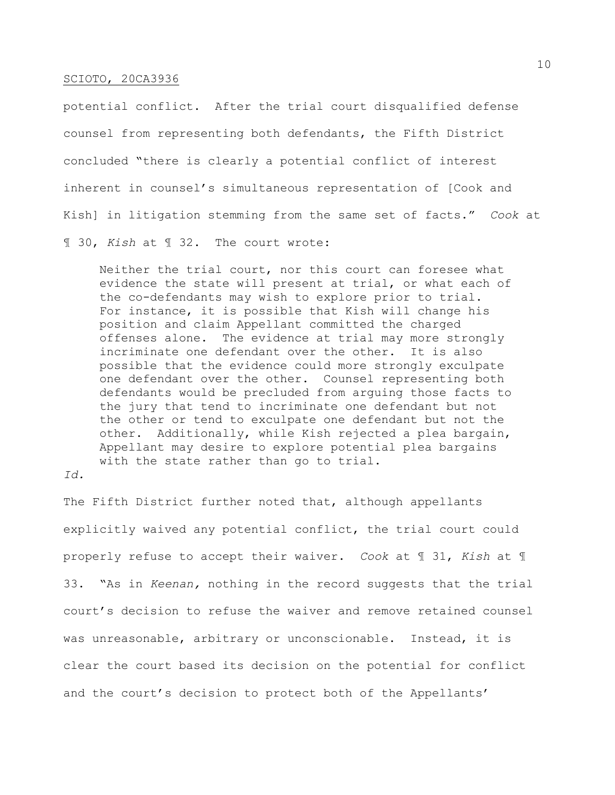potential conflict. After the trial court disqualified defense counsel from representing both defendants, the Fifth District concluded "there is clearly a potential conflict of interest inherent in counsel's simultaneous representation of [Cook and Kish] in litigation stemming from the same set of facts." *Cook* at

¶ 30, *Kish* at ¶ 32. The court wrote:

Neither the trial court, nor this court can foresee what evidence the state will present at trial, or what each of the co-defendants may wish to explore prior to trial. For instance, it is possible that Kish will change his position and claim Appellant committed the charged offenses alone. The evidence at trial may more strongly incriminate one defendant over the other. It is also possible that the evidence could more strongly exculpate one defendant over the other. Counsel representing both defendants would be precluded from arguing those facts to the jury that tend to incriminate one defendant but not the other or tend to exculpate one defendant but not the other. Additionally, while Kish rejected a plea bargain, Appellant may desire to explore potential plea bargains with the state rather than go to trial.

*Id.*

The Fifth District further noted that, although appellants explicitly waived any potential conflict, the trial court could properly refuse to accept their waiver. *Cook* at ¶ 31, *Kish* at ¶ 33. "As in *Keenan,* nothing in the record suggests that the trial court's decision to refuse the waiver and remove retained counsel was unreasonable, arbitrary or unconscionable. Instead, it is clear the court based its decision on the potential for conflict and the court's decision to protect both of the Appellants'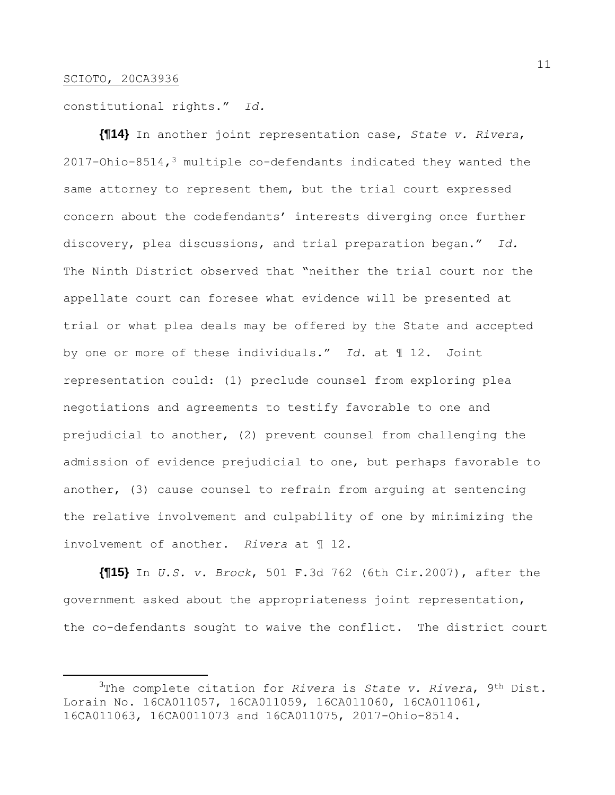constitutional rights." *Id.*

**{¶14}** In another joint representation case, *State v. Rivera*, 2017-Ohio-8514,<sup>3</sup> multiple co-defendants indicated they wanted the same attorney to represent them, but the trial court expressed concern about the codefendants' interests diverging once further discovery, plea discussions, and trial preparation began." *Id.* The Ninth District observed that "neither the trial court nor the appellate court can foresee what evidence will be presented at trial or what plea deals may be offered by the State and accepted by one or more of these individuals." *Id.* at ¶ 12. Joint representation could: (1) preclude counsel from exploring plea negotiations and agreements to testify favorable to one and prejudicial to another, (2) prevent counsel from challenging the admission of evidence prejudicial to one, but perhaps favorable to another, (3) cause counsel to refrain from arguing at sentencing the relative involvement and culpability of one by minimizing the involvement of another. *Rivera* at ¶ 12.

**{¶15}** In *U.S. v. Brock*, 501 F.3d 762 (6th Cir.2007), after the government asked about the appropriateness joint representation, the co-defendants sought to waive the conflict. The district court

<sup>3</sup>The complete citation for *Rivera* is *State v. Rivera*, 9th Dist. Lorain No. 16CA011057, 16CA011059, 16CA011060, 16CA011061, 16CA011063, 16CA0011073 and 16CA011075, 2017-Ohio-8514.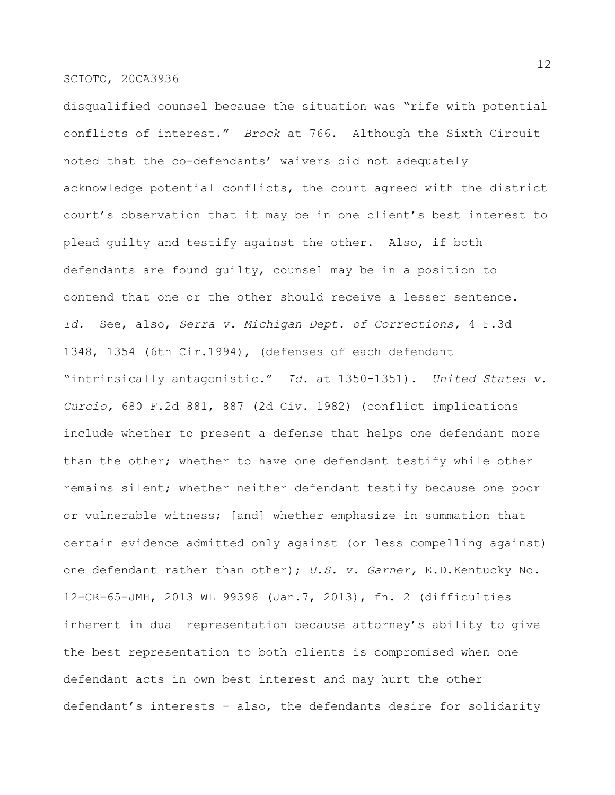disqualified counsel because the situation was "rife with potential conflicts of interest." *Brock* at 766. Although the Sixth Circuit noted that the co-defendants' waivers did not adequately acknowledge potential conflicts, the court agreed with the district court's observation that it may be in one client's best interest to plead guilty and testify against the other. Also, if both defendants are found guilty, counsel may be in a position to contend that one or the other should receive a lesser sentence. *Id.* See, also, *Serra v. Michigan Dept. of Corrections,* 4 F.3d 1348, 1354 (6th Cir.1994), (defenses of each defendant "intrinsically antagonistic." *Id.* at 1350-1351). *United States v. Curcio,* 680 F.2d 881, 887 (2d Civ. 1982) (conflict implications include whether to present a defense that helps one defendant more than the other; whether to have one defendant testify while other remains silent; whether neither defendant testify because one poor or vulnerable witness; [and] whether emphasize in summation that certain evidence admitted only against (or less compelling against) one defendant rather than other); *U.S. v. Garner,* E.D.Kentucky No. 12-CR-65-JMH, 2013 WL 99396 (Jan.7, 2013), fn. 2 (difficulties inherent in dual representation because attorney's ability to give the best representation to both clients is compromised when one defendant acts in own best interest and may hurt the other defendant's interests - also, the defendants desire for solidarity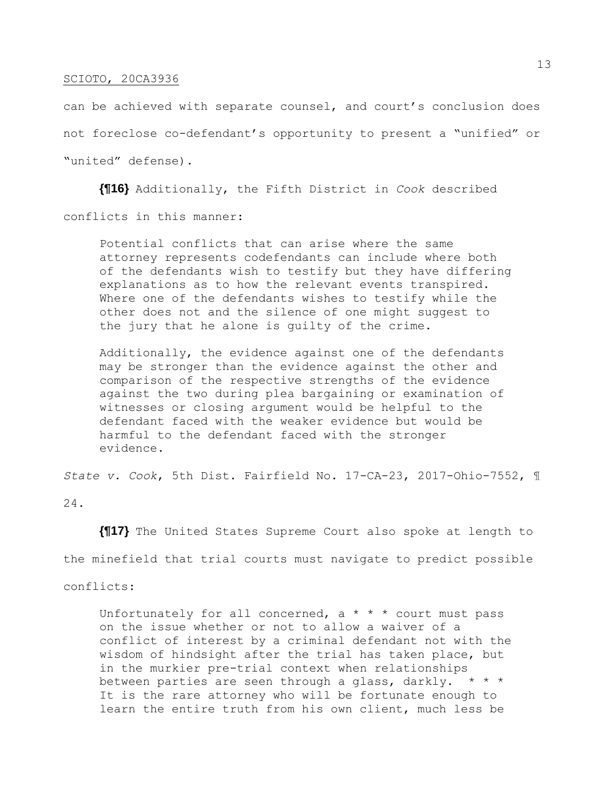can be achieved with separate counsel, and court's conclusion does not foreclose co-defendant's opportunity to present a "unified" or "united" defense).

**{¶16}** Additionally, the Fifth District in *Cook* described conflicts in this manner:

Potential conflicts that can arise where the same attorney represents codefendants can include where both of the defendants wish to testify but they have differing explanations as to how the relevant events transpired. Where one of the defendants wishes to testify while the other does not and the silence of one might suggest to the jury that he alone is guilty of the crime.

Additionally, the evidence against one of the defendants may be stronger than the evidence against the other and comparison of the respective strengths of the evidence against the two during plea bargaining or examination of witnesses or closing argument would be helpful to the defendant faced with the weaker evidence but would be harmful to the defendant faced with the stronger evidence.

*State v. Cook*, 5th Dist. Fairfield No. 17-CA-23, 2017-Ohio-7552, ¶ 24.

**{¶17}** The United States Supreme Court also spoke at length to the minefield that trial courts must navigate to predict possible

conflicts:

Unfortunately for all concerned,  $a * * *$  court must pass on the issue whether or not to allow a waiver of a conflict of interest by a criminal defendant not with the wisdom of hindsight after the trial has taken place, but in the murkier pre-trial context when relationships between parties are seen through a glass, darkly. \* \* \* It is the rare attorney who will be fortunate enough to learn the entire truth from his own client, much less be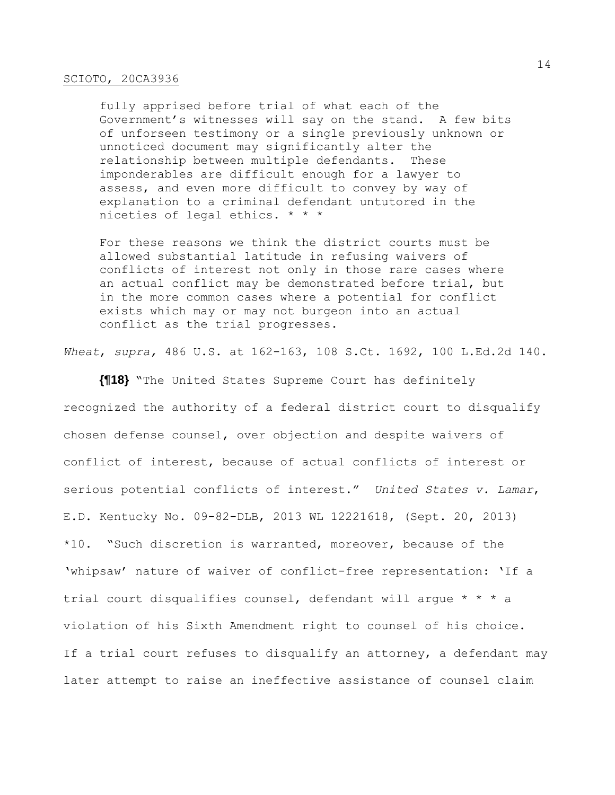fully apprised before trial of what each of the Government's witnesses will say on the stand. A few bits of unforseen testimony or a single previously unknown or unnoticed document may significantly alter the relationship between multiple defendants. These imponderables are difficult enough for a lawyer to assess, and even more difficult to convey by way of explanation to a criminal defendant untutored in the niceties of legal ethics. \* \* \*

For these reasons we think the district courts must be allowed substantial latitude in refusing waivers of conflicts of interest not only in those rare cases where an actual conflict may be demonstrated before trial, but in the more common cases where a potential for conflict exists which may or may not burgeon into an actual conflict as the trial progresses.

*Wheat*, *supra,* 486 U.S. at 162-163, 108 S.Ct. 1692, 100 L.Ed.2d 140.

**{¶18}** "The United States Supreme Court has definitely recognized the authority of a federal district court to disqualify chosen defense counsel, over objection and despite waivers of conflict of interest, because of actual conflicts of interest or serious potential conflicts of interest." *United States v. Lamar*, E.D. Kentucky No. 09-82-DLB, 2013 WL 12221618, (Sept. 20, 2013) \*10. "Such discretion is warranted, moreover, because of the 'whipsaw' nature of waiver of conflict-free representation: 'If a trial court disqualifies counsel, defendant will argue \* \* \* a violation of his Sixth Amendment right to counsel of his choice. If a trial court refuses to disqualify an attorney, a defendant may later attempt to raise an ineffective assistance of counsel claim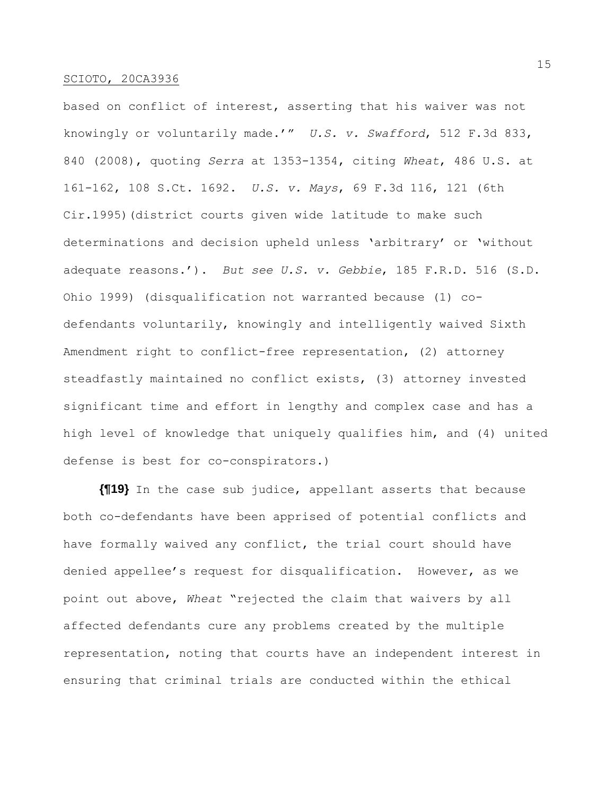based on conflict of interest, asserting that his waiver was not knowingly or voluntarily made.'" *U.S. v. Swafford*, 512 F.3d 833, 840 (2008), quoting *Serra* at 1353-1354, citing *Wheat*, 486 U.S. at 161-162, 108 S.Ct. 1692. *U.S. v. Mays*, 69 F.3d 116, 121 (6th Cir.1995)(district courts given wide latitude to make such determinations and decision upheld unless 'arbitrary' or 'without adequate reasons.'). *But see U.S. v. Gebbie*, 185 F.R.D. 516 (S.D. Ohio 1999) (disqualification not warranted because (1) codefendants voluntarily, knowingly and intelligently waived Sixth Amendment right to conflict-free representation, (2) attorney steadfastly maintained no conflict exists, (3) attorney invested significant time and effort in lengthy and complex case and has a high level of knowledge that uniquely qualifies him, and (4) united defense is best for co-conspirators.)

**{¶19}** In the case sub judice, appellant asserts that because both co-defendants have been apprised of potential conflicts and have formally waived any conflict, the trial court should have denied appellee's request for disqualification. However, as we point out above, *Wheat* "rejected the claim that waivers by all affected defendants cure any problems created by the multiple representation, noting that courts have an independent interest in ensuring that criminal trials are conducted within the ethical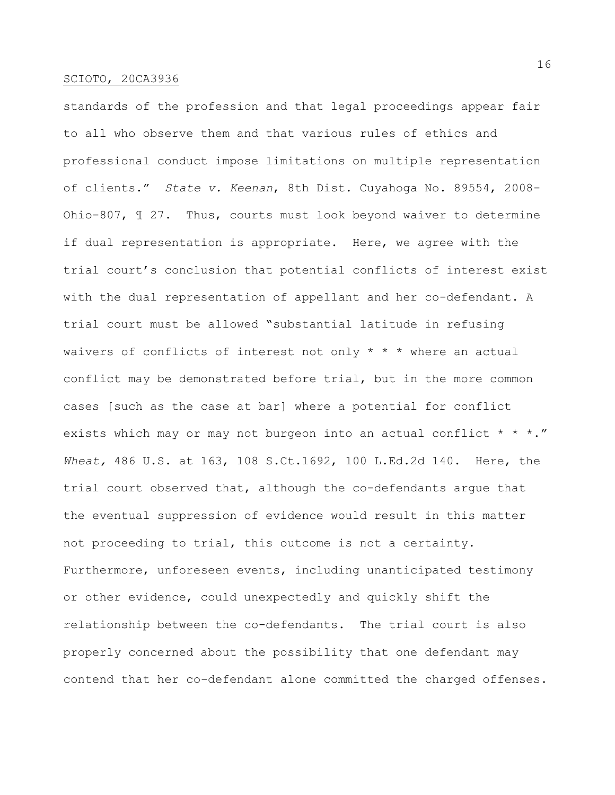standards of the profession and that legal proceedings appear fair to all who observe them and that various rules of ethics and professional conduct impose limitations on multiple representation of clients." *State v. Keenan*, 8th Dist. Cuyahoga No. 89554, 2008- Ohio-807, ¶ 27. Thus, courts must look beyond waiver to determine if dual representation is appropriate. Here, we agree with the trial court's conclusion that potential conflicts of interest exist with the dual representation of appellant and her co-defendant. A trial court must be allowed "substantial latitude in refusing waivers of conflicts of interest not only  $* * *$  where an actual conflict may be demonstrated before trial, but in the more common cases [such as the case at bar] where a potential for conflict exists which may or may not burgeon into an actual conflict \* \* \*." *Wheat,* 486 U.S. at 163, 108 S.Ct.1692, 100 L.Ed.2d 140. Here, the trial court observed that, although the co-defendants argue that the eventual suppression of evidence would result in this matter not proceeding to trial, this outcome is not a certainty. Furthermore, unforeseen events, including unanticipated testimony or other evidence, could unexpectedly and quickly shift the relationship between the co-defendants. The trial court is also properly concerned about the possibility that one defendant may contend that her co-defendant alone committed the charged offenses.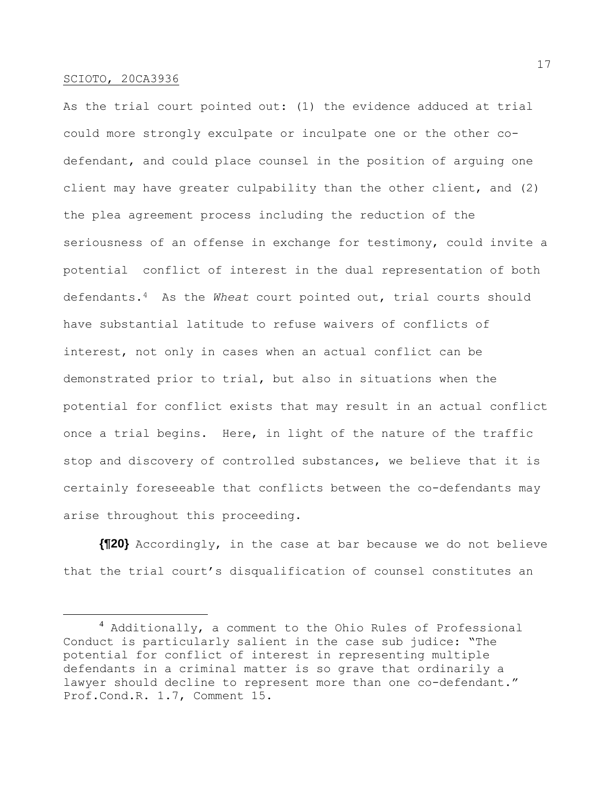As the trial court pointed out: (1) the evidence adduced at trial could more strongly exculpate or inculpate one or the other codefendant, and could place counsel in the position of arguing one client may have greater culpability than the other client, and (2) the plea agreement process including the reduction of the seriousness of an offense in exchange for testimony, could invite a potential conflict of interest in the dual representation of both defendants.4 As the *Wheat* court pointed out, trial courts should have substantial latitude to refuse waivers of conflicts of interest, not only in cases when an actual conflict can be demonstrated prior to trial, but also in situations when the potential for conflict exists that may result in an actual conflict once a trial begins. Here, in light of the nature of the traffic stop and discovery of controlled substances, we believe that it is certainly foreseeable that conflicts between the co-defendants may arise throughout this proceeding.

**{¶20}** Accordingly, in the case at bar because we do not believe that the trial court's disqualification of counsel constitutes an

<sup>&</sup>lt;sup>4</sup> Additionally, a comment to the Ohio Rules of Professional Conduct is particularly salient in the case sub judice: "The potential for conflict of interest in representing multiple defendants in a criminal matter is so grave that ordinarily a lawyer should decline to represent more than one co-defendant." Prof.Cond.R. 1.7, Comment 15.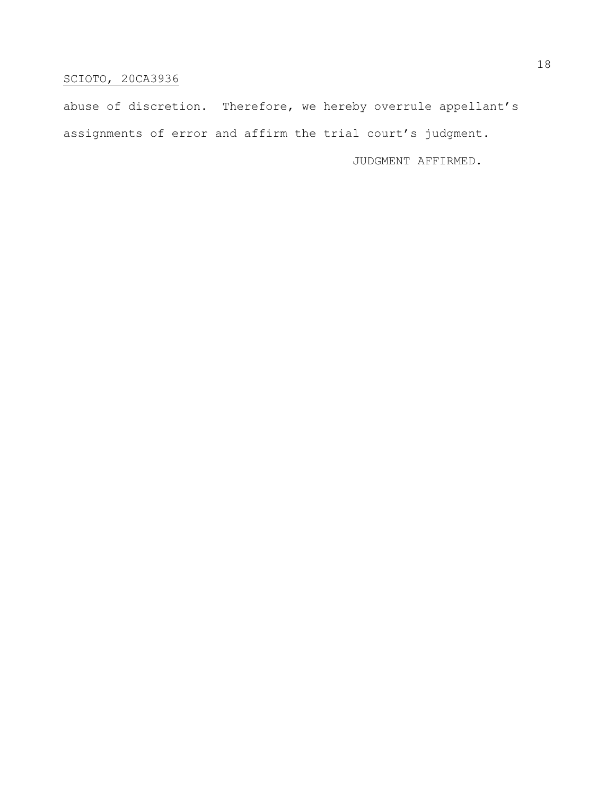abuse of discretion. Therefore, we hereby overrule appellant's assignments of error and affirm the trial court's judgment.

JUDGMENT AFFIRMED.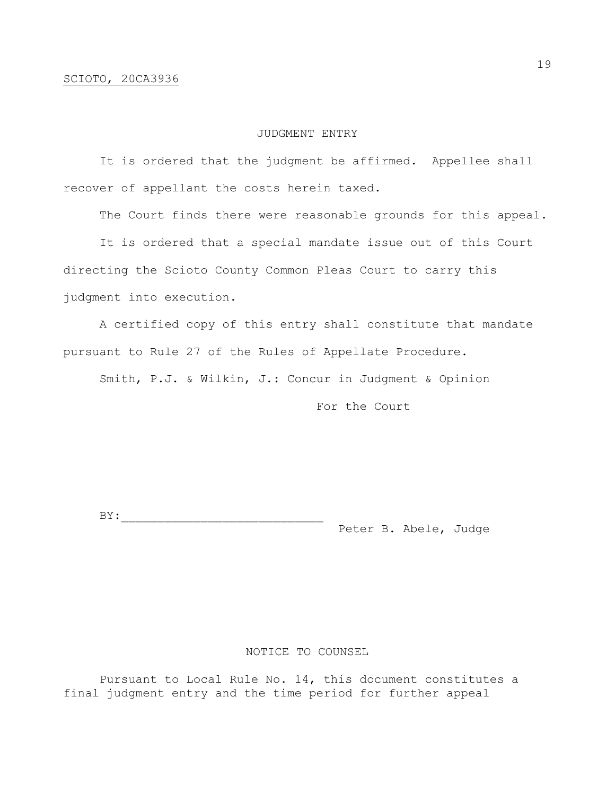# JUDGMENT ENTRY

It is ordered that the judgment be affirmed. Appellee shall recover of appellant the costs herein taxed.

The Court finds there were reasonable grounds for this appeal.

It is ordered that a special mandate issue out of this Court directing the Scioto County Common Pleas Court to carry this judgment into execution.

A certified copy of this entry shall constitute that mandate pursuant to Rule 27 of the Rules of Appellate Procedure.

Smith, P.J. & Wilkin, J.: Concur in Judgment & Opinion

For the Court

BY:\_\_\_\_\_\_\_\_\_\_\_\_\_\_\_\_\_\_\_\_\_\_\_\_\_\_\_\_ Peter B. Abele, Judge

# NOTICE TO COUNSEL

Pursuant to Local Rule No. 14, this document constitutes a final judgment entry and the time period for further appeal